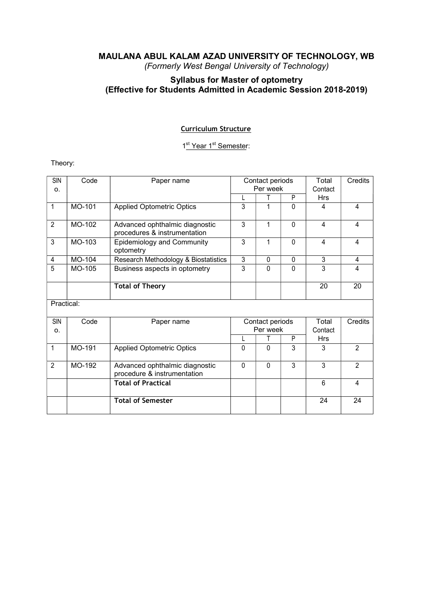# Syllabus for Master of optometry (Effective for Students Admitted in Academic Session 2018-2019)

## Curriculum Structure

1<sup>st</sup> Year 1<sup>st</sup> Semester:

Theory:

| SIN<br>O.      | Code   | Paper name                                                     | Contact periods<br>Per week |              | Total<br>Contact | Credits        |                |
|----------------|--------|----------------------------------------------------------------|-----------------------------|--------------|------------------|----------------|----------------|
|                |        |                                                                |                             |              | P                | <b>Hrs</b>     |                |
| $\mathbf{1}$   | MO-101 | <b>Applied Optometric Optics</b>                               | 3                           |              | 0                | 4              | 4              |
| $\overline{2}$ | MO-102 | Advanced ophthalmic diagnostic<br>procedures & instrumentation | 3                           | 1            | $\mathbf{0}$     | 4              | 4              |
| 3              | MO-103 | <b>Epidemiology and Community</b><br>optometry                 | 3                           |              | 0                | 4              | 4              |
| 4              | MO-104 | Research Methodology & Biostatistics                           | $\overline{3}$              | $\mathbf{0}$ | $\mathbf{0}$     | $\overline{3}$ | 4              |
| 5              | MO-105 | Business aspects in optometry                                  | 3                           | $\mathbf{0}$ | $\mathbf{0}$     | 3              | 4              |
|                |        | <b>Total of Theory</b>                                         |                             |              |                  | 20             | 20             |
| Practical:     |        |                                                                |                             |              |                  |                |                |
| SIN<br>0.      | Code   | Paper name                                                     | Contact periods<br>Per week |              | Total<br>Contact | Credits        |                |
|                |        |                                                                |                             |              | P                | <b>Hrs</b>     |                |
| $\mathbf{1}$   | MO-191 | <b>Applied Optometric Optics</b>                               | $\Omega$                    | $\Omega$     | 3                | 3              | 2              |
| $\overline{2}$ | MO-192 | Advanced ophthalmic diagnostic<br>procedure & instrumentation  | $\mathbf 0$                 | $\Omega$     | 3                | 3              | $\overline{2}$ |
|                |        | <b>Total of Practical</b>                                      |                             |              |                  | 6              | 4              |
|                |        | <b>Total of Semester</b>                                       |                             |              |                  | 24             | 24             |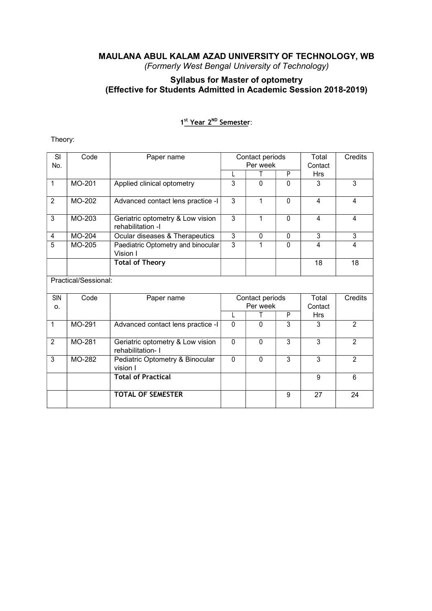# Syllabus for Master of optometry (Effective for Students Admitted in Academic Session 2018-2019)

# 1<sup>st</sup> Year 2<sup>ND</sup> Semester:

# Theory:

| SI<br>No.      | Code                 | Paper name                                            |              | Contact periods<br>Per week |              | Total<br>Contact | Credits        |
|----------------|----------------------|-------------------------------------------------------|--------------|-----------------------------|--------------|------------------|----------------|
|                |                      |                                                       |              | Т                           | P            | <b>Hrs</b>       |                |
| 1              | MO-201               | Applied clinical optometry                            | 3            | $\Omega$                    | $\Omega$     | 3                | 3              |
| $\overline{2}$ | MO-202               | Advanced contact lens practice -I                     | 3            | 1                           | 0            | 4                | 4              |
| 3              | MO-203               | Geriatric optometry & Low vision<br>rehabilitation -I | 3            | 1                           | $\mathbf{0}$ | 4                | 4              |
| 4              | <b>MO-204</b>        | Ocular diseases & Therapeutics                        | 3            | $\mathbf{0}$                | $\mathbf{0}$ | 3                | 3              |
| 5              | MO-205               | Paediatric Optometry and binocular<br>Vision I        | 3            | 1                           | $\mathbf{0}$ | 4                | 4              |
|                |                      | <b>Total of Theory</b>                                |              |                             |              | 18               | 18             |
|                | Practical/Sessional: |                                                       |              |                             |              |                  |                |
| SIN<br>0.      | Code                 | Paper name                                            |              | Contact periods<br>Per week |              | Total<br>Contact | Credits        |
|                |                      |                                                       |              | T.                          | P            | <b>Hrs</b>       |                |
| 1              | MO-291               | Advanced contact lens practice -I                     | $\Omega$     | $\mathbf{0}$                | 3            | 3                | 2              |
| $\overline{2}$ | MO-281               | Geriatric optometry & Low vision<br>rehabilitation- I | $\mathbf{0}$ | 0                           | 3            | 3                | $\overline{2}$ |
| 3              | MO-282               | Pediatric Optometry & Binocular<br>vision I           | $\Omega$     | $\mathbf 0$                 | 3            | 3                | 2              |
|                |                      | <b>Total of Practical</b>                             |              |                             |              | $\boldsymbol{9}$ | $6\phantom{a}$ |
|                |                      | <b>TOTAL OF SEMESTER</b>                              |              |                             | 9            | 27               | 24             |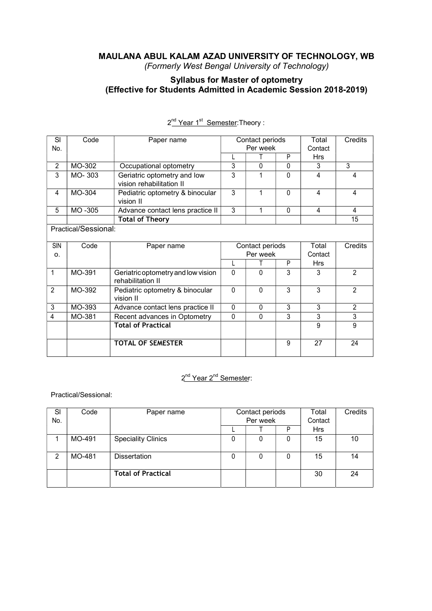# Syllabus for Master of optometry (Effective for Students Admitted in Academic Session 2018-2019)

| SI<br>Code<br>Total<br>Credits<br>Contact periods<br>Paper name<br>Per week<br>No.<br>Contact<br>P<br><b>Hrs</b><br>MO-302<br>3<br>3<br>$\overline{2}$<br>$\Omega$<br>Occupational optometry<br>$\Omega$<br>3<br>Geriatric optometry and low<br>3<br>3<br>MO-303<br>0<br>4<br>4<br>vision rehabilitation II |
|-------------------------------------------------------------------------------------------------------------------------------------------------------------------------------------------------------------------------------------------------------------------------------------------------------------|
|                                                                                                                                                                                                                                                                                                             |
|                                                                                                                                                                                                                                                                                                             |
|                                                                                                                                                                                                                                                                                                             |
|                                                                                                                                                                                                                                                                                                             |
|                                                                                                                                                                                                                                                                                                             |
| 3<br>MO-304<br>0<br>Pediatric optometry & binocular<br>1<br>4<br>4<br>4<br>vision II                                                                                                                                                                                                                        |
| MO-305<br>3<br>5<br>Advance contact lens practice II<br>1<br>$\mathbf{0}$<br>4<br>4                                                                                                                                                                                                                         |
| <b>Total of Theory</b><br>15                                                                                                                                                                                                                                                                                |
| Practical/Sessional:                                                                                                                                                                                                                                                                                        |
| <b>SIN</b><br>Code<br>Total<br>Contact periods<br>Credits<br>Paper name                                                                                                                                                                                                                                     |
| Per week<br>Contact<br>0.                                                                                                                                                                                                                                                                                   |
| P<br><b>Hrs</b>                                                                                                                                                                                                                                                                                             |
| 0<br>3<br>MO-391<br>$\mathbf{0}$<br>3<br>2<br>1<br>Geriatric optometry and low vision<br>rehabilitation II                                                                                                                                                                                                  |
| 3<br>3<br>$\overline{2}$<br>$\overline{2}$<br>MO-392<br>$\Omega$<br>$\mathbf{0}$<br>Pediatric optometry & binocular<br>vision II                                                                                                                                                                            |
| $\overline{3}$<br>3<br>3<br>MO-393<br>$\Omega$<br>$\mathbf{0}$<br>$\overline{2}$<br>Advance contact lens practice II                                                                                                                                                                                        |
| 3<br>3<br>MO-381<br>Recent advances in Optometry<br>0<br>$\mathbf{0}$<br>3<br>4                                                                                                                                                                                                                             |
| <b>Total of Practical</b><br>9<br>9                                                                                                                                                                                                                                                                         |
| <b>TOTAL OF SEMESTER</b><br>27<br>9<br>24                                                                                                                                                                                                                                                                   |

#### 2<sup>nd</sup> Year 1<sup>st</sup> Semester</u>:Theory :

# 2<sup>nd</sup> Year 2<sup>nd</sup> Semester:

Practical/Sessional:

| SI<br>No. | Code   | Paper name                | Contact periods<br>Per week |   |   | Total<br>Contact | Credits |
|-----------|--------|---------------------------|-----------------------------|---|---|------------------|---------|
|           |        |                           |                             |   | D | Hrs              |         |
|           | MO-491 | <b>Speciality Clinics</b> |                             | 0 | 0 | 15               | 10      |
| 2         | MO-481 | <b>Dissertation</b>       |                             | 0 | 0 | 15               | 14      |
|           |        | <b>Total of Practical</b> |                             |   |   | 30               | 24      |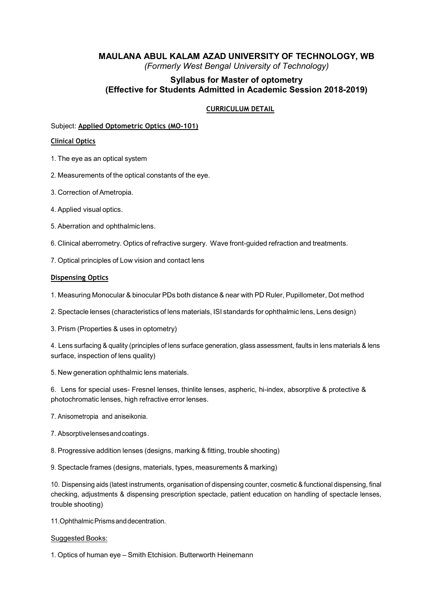# Syllabus for Master of optometry (Effective for Students Admitted in Academic Session 2018-2019)

#### CURRICULUM DETAIL

#### Subject: Applied Optometric Optics (MO-101)

#### Clinical Optics

- 1. The eye as an optical system
- 2. Measurements of the optical constants of the eye.
- 3. Correction of Ametropia.
- 4. Applied visual optics.
- 5. Aberration and ophthalmic lens.
- 6. Clinical aberrometry. Optics of refractive surgery. Wave front-guided refraction and treatments.
- 7. Optical principles of Low vision and contact lens

#### Dispensing Optics

- 1. Measuring Monocular & binocular PDs both distance & near with PD Ruler, Pupillometer, Dot method
- 2. Spectacle lenses (characteristics of lens materials, ISI standards for ophthalmic lens, Lens design)
- 3. Prism (Properties & uses in optometry)

4. Lens surfacing & quality (principles of lens surface generation, glass assessment, faults in lens materials & lens surface, inspection of lens quality)

5. New generation ophthalmic lens materials.

6. Lens for special uses- Fresnel lenses, thinlite lenses, aspheric, hi-index, absorptive & protective & photochromatic lenses, high refractive error lenses.

- 7. Anisometropia and aniseikonia.
- 7. Absorptive lenses and coatings .
- 8. Progressive addition lenses (designs, marking & fitting, trouble shooting)
- 9. Spectacle frames (designs, materials, types, measurements & marking)

10. Dispensing aids (latest instruments, organisation of dispensing counter, cosmetic & functional dispensing, final checking, adjustments & dispensing prescription spectacle, patient education on handling of spectacle lenses, trouble shooting)

11. Ophthalmic Prisms and decentration.

#### Suggested Books:

1. Optics of human eye – Smith Etchision. Butterworth Heinemann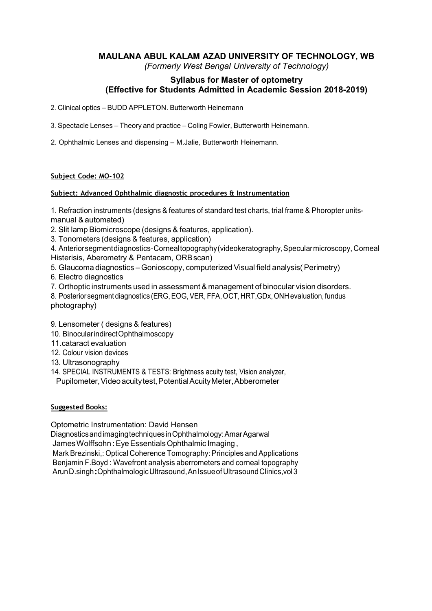# MAULANA ABUL KALAM AZAD UNIVERSITY OF TECHNOLOGY, WB

(Formerly West Bengal University of Technology)

# Syllabus for Master of optometry (Effective for Students Admitted in Academic Session 2018-2019)

- 2. Clinical optics BUDD APPLETON. Butterworth Heinemann
- 3. Spectacle Lenses Theory and practice Coling Fowler, Butterworth Heinemann.
- 2. Ophthalmic Lenses and dispensing M.Jalie, Butterworth Heinemann.

#### Subject Code: MO-102

#### Subject: Advanced Ophthalmic diagnostic procedures & Instrumentation

1. Refraction instruments (designs & features of standard test charts, trial frame & Phoropter unitsmanual & automated)

- 2. Slit lamp Biomicroscope (designs & features, application).
- 3. Tonometers (designs & features, application)

4. Anterior segment diagnostics- Corneal topography (videokeratography, Specular microscopy, Corneal Histerisis, Aberometry & Pentacam, ORB scan)

- 5. Glaucoma diagnostics Gonioscopy, computerized Visual field analysis( Perimetry)
- 6. Electro diagnostics
- 7. Orthoptic instruments used in assessment & management of binocular vision disorders.
- 8. Posterior segment diagnostics (ERG, EOG, VER, FFA, OCT, HRT,GDx, ONH evaluation, fundus photography)
- 9. Lensometer ( designs & features)
- 10. Binocular indirect Ophthalmoscopy
- 11.cataract evaluation
- 12. Colour vision devices
- 13. Ultrasonography
- 14. SPECIAL INSTRUMENTS & TESTS: Brightness acuity test, Vision analyzer,
- Pupilometer, Video acuity test, Potential Acuity Meter, Abberometer

#### Suggested Books:

Optometric Instrumentation: David Hensen

Diagnostics and imaging techniques in Ophthalmology: Amar Agarwal

James Wolffsohn : Eye Essentials Ophthalmic Imaging ,

Mark Brezinski,: Optical Coherence Tomography: Principles and Applications Benjamin F.Boyd : Wavefront analysis aberrometers and corneal topography Arun D.singh :Ophthalmologic Ultrasound, An Issue of Ultrasound Clinics,vol 3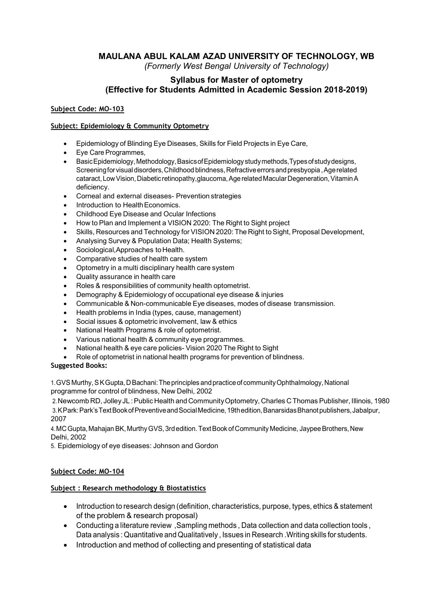# Syllabus for Master of optometry (Effective for Students Admitted in Academic Session 2018-2019)

#### Subject Code: MO-103

#### Subject: Epidemiology & Community Optometry

- Epidemiology of Blinding Eye Diseases, Skills for Field Projects in Eye Care,
- Eye Care Programmes,
- Basic Epidemiology, Methodology, Basics of Epidemiology study methods,Types of study designs, Screening for visual disorders, Childhood blindness, Refractive errors and presbyopia , Age related cataract, Low Vision, Diabetic retinopathy,glaucoma, Age related Macular Degeneration, Vitamin A deficiency.
- Corneal and external diseases- Prevention strategies
- Introduction to Health Economics.
- Childhood Eye Disease and Ocular Infections
- How to Plan and Implement a VISION 2020: The Right to Sight project
- Skills, Resources and Technology for VISION 2020: The Right to Sight, Proposal Development,
- Analysing Survey & Population Data; Health Systems;
- Sociological,Approaches to Health.
- Comparative studies of health care system
- Optometry in a multi disciplinary health care system
- Quality assurance in health care
- Roles & responsibilities of community health optometrist.
- Demography & Epidemiology of occupational eye disease & injuries
- Communicable & Non-communicable Eye diseases, modes of disease transmission.
- Health problems in India (types, cause, management)
- Social issues & optometric involvement, law & ethics
- National Health Programs & role of optometrist.
- Various national health & community eye programmes.
- National health & eye care policies- Vision 2020 The Right to Sight
- Role of optometrist in national health programs for prevention of blindness.

#### Suggested Books:

1. GVS Murthy, S K Gupta, D Bachani: The principles and practice of community Ophthalmology, National programme for control of blindness, New Delhi, 2002

2. Newcomb RD, Jolley JL : Public Health and Community Optometry, Charles C Thomas Publisher, Illinois, 1980 3. K Park: Park's Text Book of Preventive and Social Medicine, 19th edition, Banarsidas Bhanot publishers, Jabalpur, 2007

4. MC Gupta, Mahajan BK, Murthy GVS, 3rd edition. Text Book of Community Medicine, Jaypee Brothers, New Delhi, 2002

5. Epidemiology of eye diseases: Johnson and Gordon

# Subject Code: MO-104

#### Subject : Research methodology & Biostatistics

- Introduction to research design (definition, characteristics, purpose, types, ethics & statement of the problem & research proposal)
- Conducting a literature review ,Sampling methods , Data collection and data collection tools , Data analysis : Quantitative and Qualitatively , Issues in Research .Writing skills for students.
- Introduction and method of collecting and presenting of statistical data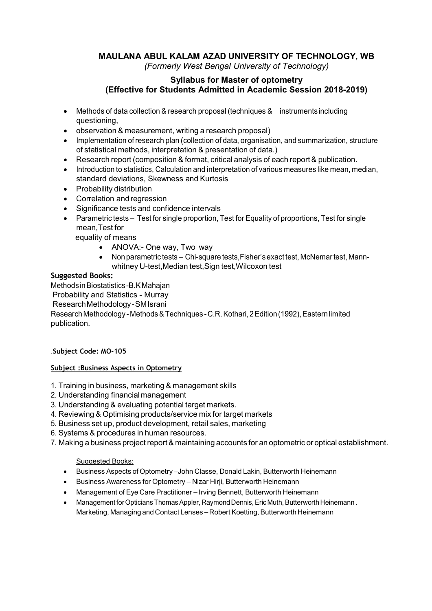# Syllabus for Master of optometry (Effective for Students Admitted in Academic Session 2018-2019)

- Methods of data collection & research proposal (techniques & instruments including questioning,
- observation & measurement, writing a research proposal)
- Implementation of research plan (collection of data, organisation, and summarization, structure of statistical methods, interpretation & presentation of data.)
- Research report (composition & format, critical analysis of each report & publication.
- Introduction to statistics, Calculation and interpretation of various measures like mean, median, standard deviations, Skewness and Kurtosis
- Probability distribution
- Correlation and regression
- Significance tests and confidence intervals
- Parametric tests Test for single proportion, Test for Equality of proportions, Test for single mean,Test for

equality of means

- ANOVA:- One way, Two way
- Non parametric tests Chi-square tests,Fisher's exact test, McNemar test, Mannwhitney U-test, Median test, Sign test, Wilcoxon test

# Suggested Books:

Methods in Biostatistics -B.K Mahajan

Probability and Statistics - Murray

Research Methodology - SM Israni

Research Methodology - Methods & Techniques - C.R. Kothari, 2 Edition (1992), Eastern limited publication.

# .Subject Code: MO-105

# Subject :Business Aspects in Optometry

- 1. Training in business, marketing & management skills
- 2. Understanding financial management
- 3. Understanding & evaluating potential target markets.
- 4. Reviewing & Optimising products/service mix for target markets
- 5. Business set up, product development, retail sales, marketing
- 6. Systems & procedures in human resources.
- 7. Making a business project report & maintaining accounts for an optometric or optical establishment.

# Suggested Books:

- Business Aspects of Optometry –John Classe, Donald Lakin, Butterworth Heinemann
- Business Awareness for Optometry Nizar Hirji, Butterworth Heinemann
- Management of Eye Care Practitioner Irving Bennett, Butterworth Heinemann
- Management for Opticians Thomas Appler, Raymond Dennis, Eric Muth, Butterworth Heinemann . Marketing, Managing and Contact Lenses – Robert Koetting, Butterworth Heinemann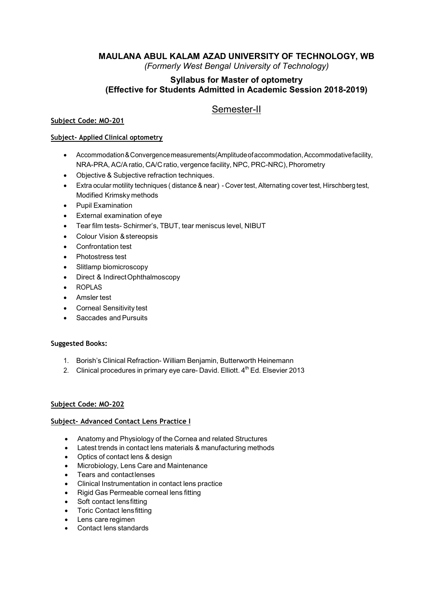# Syllabus for Master of optometry (Effective for Students Admitted in Academic Session 2018-2019)

# Semester-II

## Subject Code: MO-201

#### Subject- Applied Clinical optometry

- Accommodation & Convergence measurements(Amplitude of accommodation, Accommodative facility, NRA-PRA, AC/A ratio, CA/C ratio, vergence facility, NPC, PRC-NRC), Phorometry
- Objective & Subjective refraction techniques.
- Extra ocular motility techniques ( distance & near) Cover test, Alternating cover test, Hirschberg test, Modified Krimsky methods
- Pupil Examination
- External examination of eye
- Tear film tests- Schirmer's, TBUT, tear meniscus level, NIBUT
- Colour Vision & stereopsis
- Confrontation test
- Photostress test
- Slitlamp biomicroscopy
- Direct & Indirect Ophthalmoscopy
- ROPLAS
- Amsler test
- Corneal Sensitivity test
- Saccades and Pursuits

#### Suggested Books:

- 1. Borish's Clinical Refraction- William Benjamin, Butterworth Heinemann
- 2. Clinical procedures in primary eye care- David. Elliott. 4<sup>th</sup> Ed. Elsevier 2013

#### Subject Code: MO-202

#### Subject- Advanced Contact Lens Practice I

- Anatomy and Physiology of the Cornea and related Structures
- Latest trends in contact lens materials & manufacturing methods
- Optics of contact lens & design
- Microbiology, Lens Care and Maintenance
- Tears and contact lenses
- Clinical Instrumentation in contact lens practice
- Rigid Gas Permeable corneal lens fitting
- Soft contact lens fitting
- Toric Contact lens fitting
- Lens care regimen
- Contact lens standards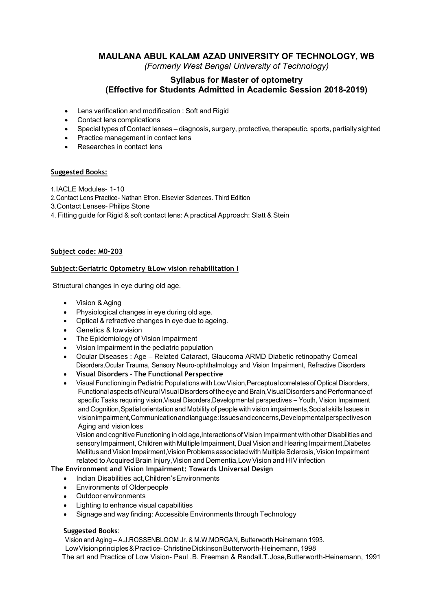# Syllabus for Master of optometry (Effective for Students Admitted in Academic Session 2018-2019)

- Lens verification and modification : Soft and Rigid
- Contact lens complications
- Special types of Contact lenses diagnosis, surgery, protective, therapeutic, sports, partially sighted
- Practice management in contact lens
- Researches in contact lens

#### Suggested Books:

1. IACLE Modules- 1- 10

2. Contact Lens Practice- Nathan Efron. Elsevier Sciences. Third Edition

3.Contact Lenses- Philips Stone

4. Fitting guide for Rigid & soft contact lens: A practical Approach: Slatt & Stein

#### Subject code: M0-203

#### Subject:Geriatric Optometry &Low vision rehabilitation I

Structural changes in eye during old age.

- Vision & Aging
- Physiological changes in eye during old age.
- Optical & refractive changes in eye due to ageing.
- Genetics & low vision
- The Epidemiology of Vision Impairment
- Vision Impairment in the pediatric population
- Ocular Diseases : Age Related Cataract, Glaucoma ARMD Diabetic retinopathy Corneal Disorders,Ocular Trauma, Sensory Neuro-ophthalmology and Vision Impairment, Refractive Disorders
- Visual Disorders The Functional Perspective
- Visual Functioning in Pediatric Populations with Low Vision,Perceptual correlates of Optical Disorders, Functional aspects of Neural Visual Disorders of the eye and Brain, Visual Disorders and Performance of specific Tasks requiring vision,Visual Disorders,Developmental perspectives – Youth, Vision Impairment and Cognition,Spatial orientation and Mobility of people with vision impairments,Social skills Issues in vision impairment,Communication and language: Issues and concerns,Developmental perspectives on Aging and vision loss

Vision and cognitive Functioning in old age,Interactions of Vision Impairment with other Disabilities and sensory Impairment, Children with Multiple Impairment, Dual Vision and Hearing Impairment,Diabetes Mellitus and Vision Impairment,Vision Problems associated with Multiple Sclerosis, Vision Impairment related to Acquired Brain Injury,Vision and Dementia,Low Vision and HIV infection

#### The Environment and Vision Impairment: Towards Universal Design

- Indian Disabilities act, Children's Environments
- Environments of Older people
- Outdoor environments
- Lighting to enhance visual capabilities
- Signage and way finding: Accessible Environments through Technology

#### Suggested Books:

Vision and Aging – A.J.ROSSENBLOOM Jr. & M.W.MORGAN, Butterworth Heinemann 1993.

Low Vision principles & Practice- Christine Dickinson Butterworth-Heinemann, 1998

The art and Practice of Low Vision- Paul .B. Freeman & Randall.T.Jose,Butterworth-Heinemann, 1991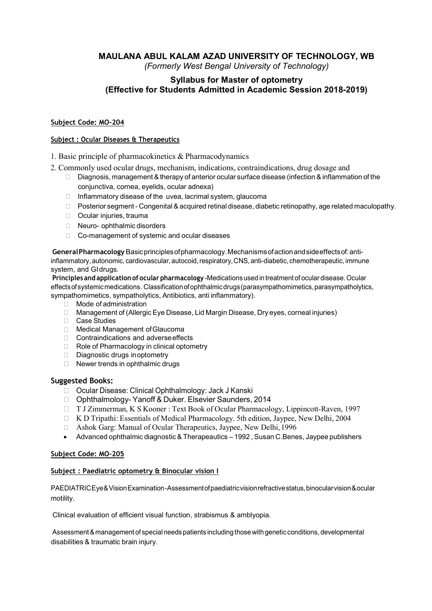# Syllabus for Master of optometry (Effective for Students Admitted in Academic Session 2018-2019)

#### Subject Code: MO-204

#### Subject : Ocular Diseases & Therapeutics

- 1. Basic principle of pharmacokinetics & Pharmacodynamics
- 2. Commonly used ocular drugs, mechanism, indications, contraindications, drug dosage and
	- $\Box$  Diagnosis, management & therapy of anterior ocular surface disease (infection & inflammation of the conjunctiva, cornea, eyelids, ocular adnexa)
	- $\Box$  Inflammatory disease of the uvea, lacrimal system, glaucoma
	- $\Box$  Posterior segment Congenital & acquired retinal disease, diabetic retinopathy, age related maculopathy.
	- □ Ocular injuries, trauma
	- □ Neuro- ophthalmic disorders
	- Co-management of systemic and ocular diseases

General Pharmacology Basic principles of pharmacology. Mechanisms of action and side effects of: antiinflammatory, autonomic, cardiovascular, autocoid, respiratory, CNS, anti-diabetic, chemotherapeutic, immune system, and GI drugs.

Principles and application of ocular pharmacology -Medications used in treatment of ocular disease. Ocular effects of systemic medications. Classification of ophthalmic drugs (parasympathomimetics, parasympatholytics, sympathomimetics, sympatholytics, Antibiotics, anti inflammatory).

- □ Mode of administration
- Management of (Allergic Eye Disease, Lid Margin Disease, Dry eyes, corneal injuries)
- Case Studies
- Medical Management of Glaucoma
- □ Contraindications and adverse effects
- □ Role of Pharmacology in clinical optometry
- $\Box$  Diagnostic drugs in optometry
- $\Box$  Newer trends in ophthalmic drugs

#### Suggested Books:

- □ Ocular Disease: Clinical Ophthalmology: Jack J Kanski
- □ Ophthalmology- Yanoff & Duker. Elsevier Saunders, 2014
- T J Zimmerman, K S Kooner : Text Book of Ocular Pharmacology, Lippincott-Raven, 1997
- $\Box$  K D Tripathi: Essentials of Medical Pharmacology. 5th edition, Jaypee, New Delhi, 2004
- Ashok Garg: Manual of Ocular Therapeutics, Jaypee, New Delhi, 1996
- Advanced ophthalmic diagnostic & Therapeautics 1992 , Susan C.Benes, Jaypee publishers

#### Subject Code: MO-205

#### Subject : Paediatric optometry & Binocular vision I

PAEDIATRIC Eye & Vision Examination -Assessment of paediatric vision refractive status, binocular vision & ocular motility.

Clinical evaluation of efficient visual function, strabismus & amblyopia.

Assessment & management of special needs patients including those with genetic conditions, developmental disabilities & traumatic brain injury.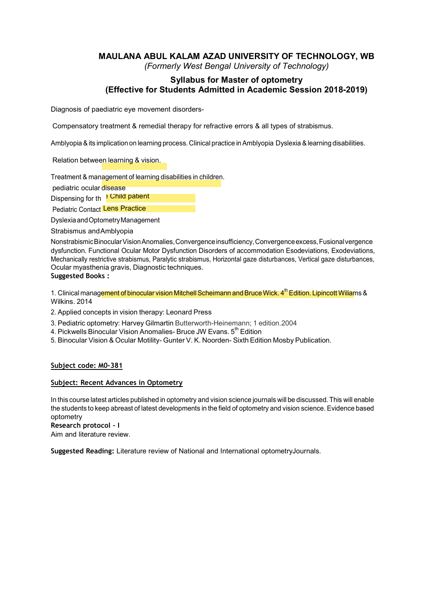# Syllabus for Master of optometry (Effective for Students Admitted in Academic Session 2018-2019)

Diagnosis of paediatric eye movement disorders-

Compensatory treatment & remedial therapy for refractive errors & all types of strabismus.

Amblyopia & its implication on learning process. Clinical practice in Amblyopia Dyslexia & learning disabilities.

Relation between learning & vision.

Treatment & management of learning disabilities in children.

pediatric ocular disease

Dispensing for th <sup>s</sup> Child patient

Pediatric Contact Lens Practice **Contact Server Contact Lens** 

Dyslexia and Optometry Management

Strabismus and Amblyopia

Nonstrabismic Binocular Vision Anomalies, Convergence insufficiency, Convergence excess, Fusional vergence dysfunction. Functional Ocular Motor Dysfunction Disorders of accommodation Esodeviations, Exodeviations, Mechanically restrictive strabismus, Paralytic strabismus, Horizontal gaze disturbances, Vertical gaze disturbances, Ocular myasthenia gravis, Diagnostic techniques.

#### Suggested Books :

1. Clinical management of binocular vision Mitchell Scheimann and Bruce Wick. 4<sup>th</sup> Edition. Lipincott Wiliams & Wilkins. 2014

2. Applied concepts in vision therapy: Leonard Press

- 3. Pediatric optometry: Harvey Gilmartin Butterworth-Heinemann; 1 edition.2004
- 4. Pickwells Binocular Vision Anomalies- Bruce JW Evans, 5<sup>th</sup> Edition
- 5. Binocular Vision & Ocular Motility- Gunter V. K. Noorden- Sixth Edition Mosby Publication.

#### Subject code: M0-381

#### Subject: Recent Advances in Optometry

In this course latest articles published in optometry and vision science journals will be discussed. This will enable the students to keep abreast of latest developments in the field of optometry and vision science. Evidence based optometry

Research protocol – I

Aim and literature review.

Suggested Reading: Literature review of National and International optometryJournals.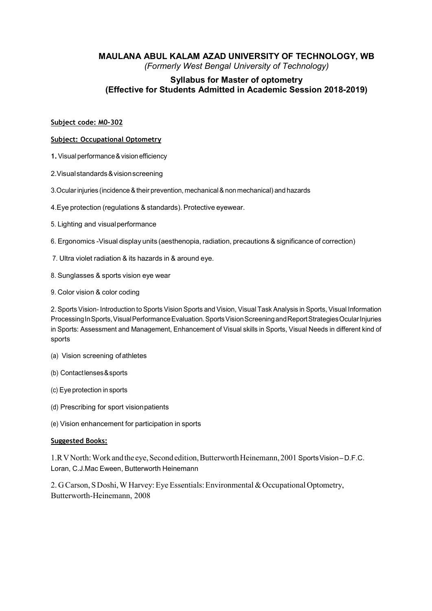# Syllabus for Master of optometry (Effective for Students Admitted in Academic Session 2018-2019)

#### Subject code: M0-302

#### Subject: Occupational Optometry

- 1. Visual performance & vision efficiency
- 2.Visual standards & vision screening
- 3.Ocular injuries (incidence & their prevention, mechanical & non mechanical) and hazards
- 4.Eye protection (regulations & standards). Protective eyewear.
- 5. Lighting and visual performance
- 6. Ergonomics -Visual display units (aesthenopia, radiation, precautions & significance of correction)
- 7. Ultra violet radiation & its hazards in & around eye.
- 8. Sunglasses & sports vision eye wear
- 9. Color vision & color coding

2. Sports Vision- Introduction to Sports Vision Sports and Vision, Visual Task Analysis in Sports, Visual Information Processing In Sports, Visual Performance Evaluation. Sports Vision Screening and Report Strategies Ocular Injuries in Sports: Assessment and Management, Enhancement of Visual skills in Sports, Visual Needs in different kind of sports

- (a) Vision screening of athletes
- (b) Contact lenses & sports
- (c) Eye protection in sports
- (d) Prescribing for sport vision patients
- (e) Vision enhancement for participation in sports

#### Suggested Books:

1.R V North: Work and the eye, Second edition, Butterworth Heinemann, 2001 Sports Vision – D.F.C. Loran, C.J.Mac Eween, Butterworth Heinemann

2. G Carson, S Doshi, W Harvey: Eye Essentials: Environmental & Occupational Optometry, Butterworth-Heinemann, 2008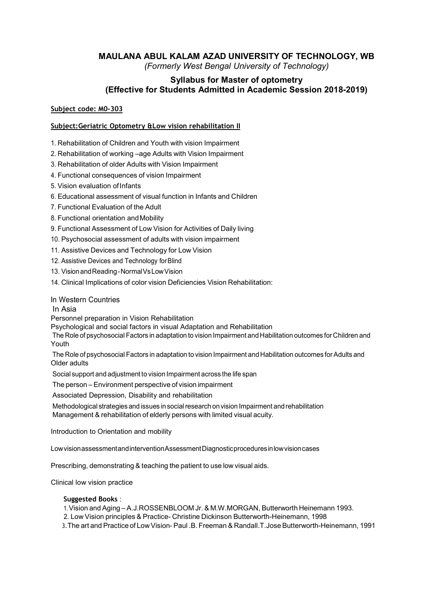# MAULANA ABUL KALAM AZAD UNIVERSITY OF TECHNOLOGY, WB

(Formerly West Bengal University of Technology)

# Syllabus for Master of optometry (Effective for Students Admitted in Academic Session 2018-2019)

#### Subject code: M0-303

#### Subject:Geriatric Optometry &Low vision rehabilitation II

1. Rehabilitation of Children and Youth with vision Impairment

2. Rehabilitation of working –age Adults with Vision Impairment

3. Rehabilitation of older Adults with Vision Impairment

4. Functional consequences of vision Impairment

5. Vision evaluation of Infants

6. Educational assessment of visual function in Infants and Children

7. Functional Evaluation of the Adult

8. Functional orientation and Mobility

9. Functional Assessment of Low Vision for Activities of Daily living

10. Psychosocial assessment of adults with vision impairment

11. Assistive Devices and Technology for Low Vision

12. Assistive Devices and Technology for Blind

13. Vision and Reading - Normal Vs Low Vision

14. Clinical Implications of color vision Deficiencies Vision Rehabilitation:

#### In Western Countries

In Asia

Personnel preparation in Vision Rehabilitation

Psychological and social factors in visual Adaptation and Rehabilitation

The Role of psychosocial Factors in adaptation to vision Impairment and Habilitation outcomes for Children and Youth

The Role of psychosocial Factors in adaptation to vision Impairment and Habilitation outcomes for Adults and Older adults

Social support and adjustment to vision Impairment across the life span

The person – Environment perspective of vision impairment

Associated Depression, Disability and rehabilitation

Methodological strategies and issues in social research on vision Impairment and rehabilitation Management & rehabilitation of elderly persons with limited visual acuity.

Introduction to Orientation and mobility

Low vision assessment and intervention Assessment Diagnostic procedures in low vision cases

Prescribing, demonstrating & teaching the patient to use low visual aids.

Clinical low vision practice

#### Suggested Books :

1. Vision and Aging – A.J.ROSSENBLOOM Jr. & M.W.MORGAN, Butterworth Heinemann 1993. 2. Low Vision principles & Practice- Christine Dickinson Butterworth-Heinemann, 1998

3.The art and Practice of Low Vision- Paul .B. Freeman & Randall.T.Jose Butterworth-Heinemann, 1991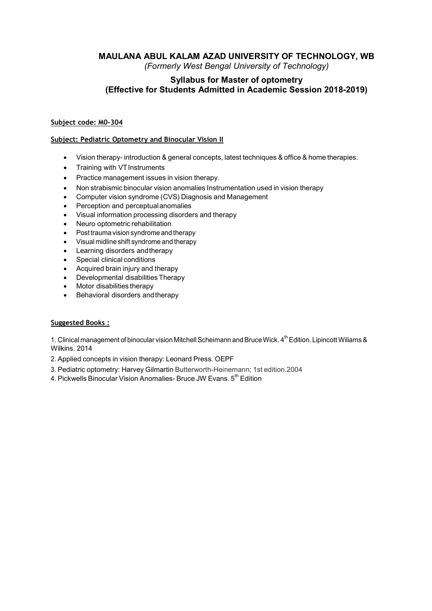# Syllabus for Master of optometry (Effective for Students Admitted in Academic Session 2018-2019)

#### Subject code: M0-304

#### Subject: Pediatric Optometry and Binocular Vision II

- Vision therapy- introduction & general concepts, latest techniques & office & home therapies.
- Training with VT Instruments
- Practice management issues in vision therapy.
- Non strabismic binocular vision anomalies Instrumentation used in vision therapy
- Computer vision syndrome (CVS) Diagnosis and Management
- Perception and perceptual anomalies
- Visual information processing disorders and therapy
- Neuro optometric rehabilitation
- Post trauma vision syndrome and therapy
- Visual midline shift syndrome and therapy
- Learning disorders and therapy
- Special clinical conditions
- Acquired brain injury and therapy
- Developmental disabilities Therapy
- Motor disabilities therapy
- Behavioral disorders and therapy

#### Suggested Books :

1. Clinical management of binocular vision Mitchell Scheimann and Bruce Wick. 4<sup>th</sup> Edition. Lipincott Wiliams & Wilkins. 2014

- 2. Applied concepts in vision therapy: Leonard Press. OEPF
- 3. Pediatric optometry: Harvey Gilmartin Butterworth-Heinemann; 1st edition.2004
- 4. Pickwells Binocular Vision Anomalies- Bruce JW Evans. 5<sup>th</sup> Edition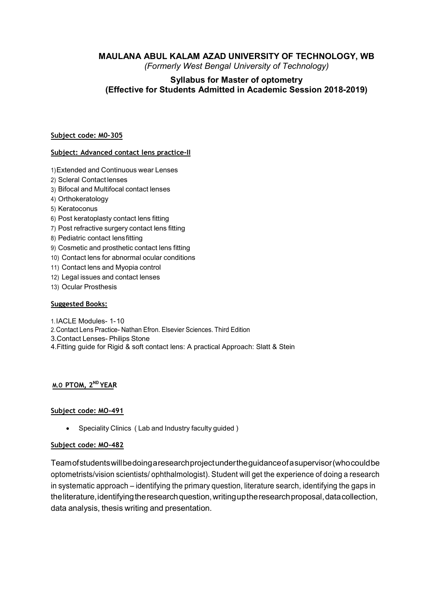# MAULANA ABUL KALAM AZAD UNIVERSITY OF TECHNOLOGY, WB

(Formerly West Bengal University of Technology)

# Syllabus for Master of optometry (Effective for Students Admitted in Academic Session 2018-2019)

#### Subject code: M0-305

#### Subject: Advanced contact lens practice-II

- 1) Extended and Continuous wear Lenses
- 2) Scleral Contact lenses
- 3) Bifocal and Multifocal contact lenses
- 4) Orthokeratology
- 5) Keratoconus
- 6) Post keratoplasty contact lens fitting
- 7) Post refractive surgery contact lens fitting
- 8) Pediatric contact lens fitting
- 9) Cosmetic and prosthetic contact lens fitting
- 10) Contact lens for abnormal ocular conditions
- 11) Contact lens and Myopia control
- 12) Legal issues and contact lenses
- 13) Ocular Prosthesis

#### Suggested Books:

- 1. IACLE Modules- 1- 10
- 2. Contact Lens Practice- Nathan Efron. Elsevier Sciences. Third Edition
- 3.Contact Lenses- Philips Stone
- 4.Fitting guide for Rigid & soft contact lens: A practical Approach: Slatt & Stein

#### M.O PTOM, 2<sup>ND</sup> YEAR

#### Subject code: MO-491

• Speciality Clinics (Lab and Industry faculty guided)

#### Subject code: MO-482

Team of students will be doing a research project under the guidance of a supervisor (who could be optometrists/vision scientists/ ophthalmologist). Student will get the experience of doing a research in systematic approach – identifying the primary question, literature search, identifying the gaps in the literature, identifying the research question, writing up the research proposal, data collection, data analysis, thesis writing and presentation.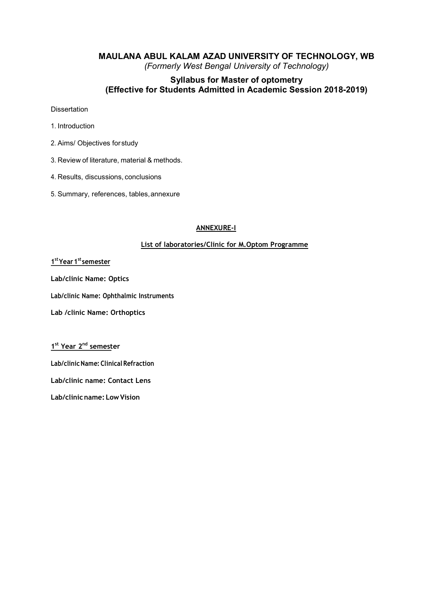# Syllabus for Master of optometry (Effective for Students Admitted in Academic Session 2018-2019)

**Dissertation** 

- 1. Introduction
- 2. Aims/ Objectives for study
- 3. Review of literature, material & methods.
- 4. Results, discussions, conclusions
- 5. Summary, references, tables, annexure

#### ANNEXURE-I

#### List of laboratories/Clinic for M.Optom Programme

#### 1<sup>st</sup> Year 1<sup>st</sup> semester and the set of the set of the set of the set of the set of the set of the set of the set of the set of the set of the set of the set of the set of the set of the set of the set of the set of the s

Lab/clinic Name: Optics

Lab/clinic Name: Ophthalmic Instruments

Lab /clinic Name: Orthoptics

1<sup>st</sup> Year 2<sup>nd</sup> semester

Lab/clinic Name: Clinical Refraction

Lab/clinic name: Contact Lens

Lab/clinic name: Low Vision